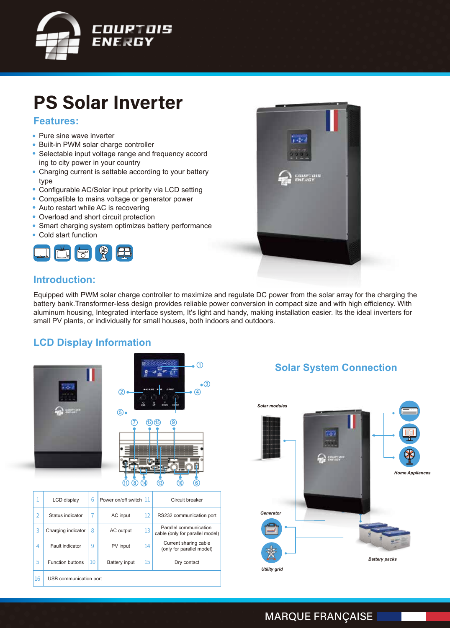

# **PS Solar Inverter**

#### **Features:**

- Pure sine wave inverter
- Built-in PWM solar charge controller
- Selectable input voltage range and frequency accord ing to city power in your country
- Charging current is settable according to your battery type
- Configurable AC/Solar input priority via LCD setting
- Compatible to mains voltage or generator power
- Auto restart while AC is recovering
- Overload and short circuit protection
- Smart charging system optimizes battery performance
- Cold start function





#### **Introduction:**

Equipped with PWM solar charge controller to maximize and regulate DC power from the solar array for the charging the battery bank.Transformer-less design provides reliable power conversion in compact size and with high efficiency. With aluminum housing, Integrated interface system, It's light and handy, making installation easier. Its the ideal inverters for small PV plants, or individually for small houses, both indoors and outdoors.

#### **LCD Display Information**



|                | $\odot$                   |
|----------------|---------------------------|
| $^{\circledR}$ | $\circledS$<br>$\bigcirc$ |
| 5              |                           |



| 1              | LCD display             | 6  | Power on/off switch 11 |    | Circuit breaker                                           |  |  |
|----------------|-------------------------|----|------------------------|----|-----------------------------------------------------------|--|--|
| $\overline{2}$ | Status indicator        |    | AC input               | 12 | RS232 communication port                                  |  |  |
| 3              | Charging indicator      | 8  | AC output              | 13 | Parallel communication<br>cable (only for parallel model) |  |  |
| 4              | Fault indicator         | 9  | PV input               | 14 | Current sharing cable<br>(only for parallel model)        |  |  |
| 5              | <b>Function buttons</b> | 10 | Battery input          | 15 | Dry contact                                               |  |  |
| 16             | USB communication port  |    |                        |    |                                                           |  |  |

#### **Solar System Connection**



#### **MARQUE FRANÇAISE**